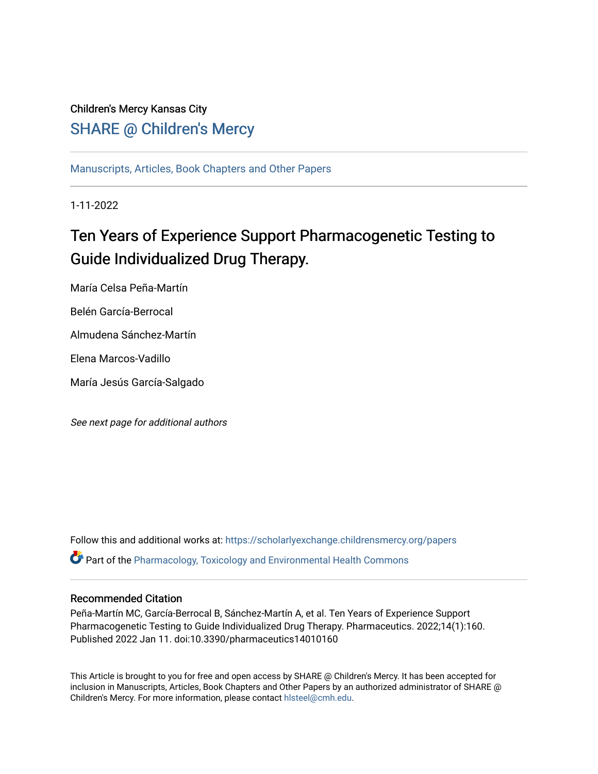## Children's Mercy Kansas City SHARE @ Children's Mercy

[Manuscripts, Articles, Book Chapters and Other Papers](https://scholarlyexchange.childrensmercy.org/papers)

1-11-2022

# Ten Years of Experience Support Pharmacogenetic Testing to Guide Individualized Drug Therapy.

María Celsa Peña-Martín

Belén García-Berrocal

Almudena Sánchez-Martín

Elena Marcos-Vadillo

María Jesús García-Salgado

See next page for additional authors

Follow this and additional works at: [https://scholarlyexchange.childrensmercy.org/papers](https://scholarlyexchange.childrensmercy.org/papers?utm_source=scholarlyexchange.childrensmercy.org%2Fpapers%2F4204&utm_medium=PDF&utm_campaign=PDFCoverPages)  **P** Part of the Pharmacology, Toxicology and Environmental Health Commons

### Recommended Citation

Peña-Martín MC, García-Berrocal B, Sánchez-Martín A, et al. Ten Years of Experience Support Pharmacogenetic Testing to Guide Individualized Drug Therapy. Pharmaceutics. 2022;14(1):160. Published 2022 Jan 11. doi:10.3390/pharmaceutics14010160

This Article is brought to you for free and open access by SHARE @ Children's Mercy. It has been accepted for inclusion in Manuscripts, Articles, Book Chapters and Other Papers by an authorized administrator of SHARE @ Children's Mercy. For more information, please contact [hlsteel@cmh.edu](mailto:hlsteel@cmh.edu).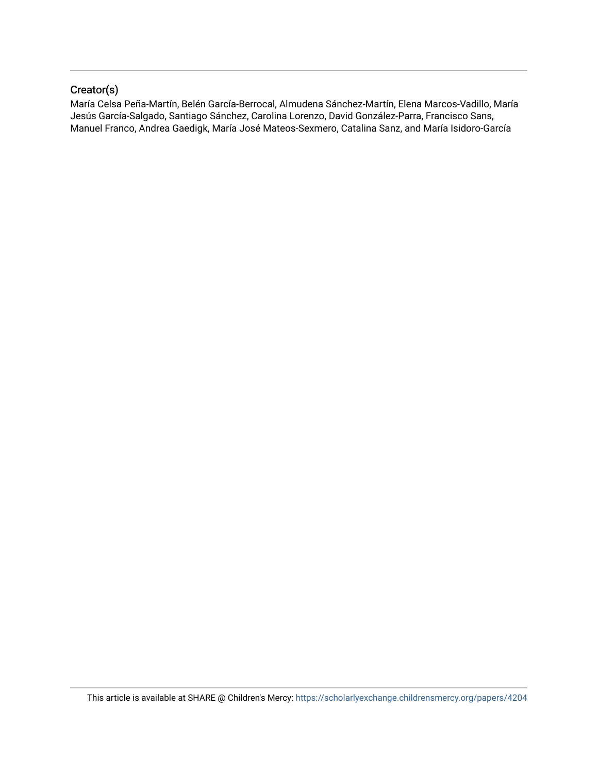## Creator(s)

María Celsa Peña-Martín, Belén García-Berrocal, Almudena Sánchez-Martín, Elena Marcos-Vadillo, María Jesús García-Salgado, Santiago Sánchez, Carolina Lorenzo, David González-Parra, Francisco Sans, Manuel Franco, Andrea Gaedigk, María José Mateos-Sexmero, Catalina Sanz, and María Isidoro-García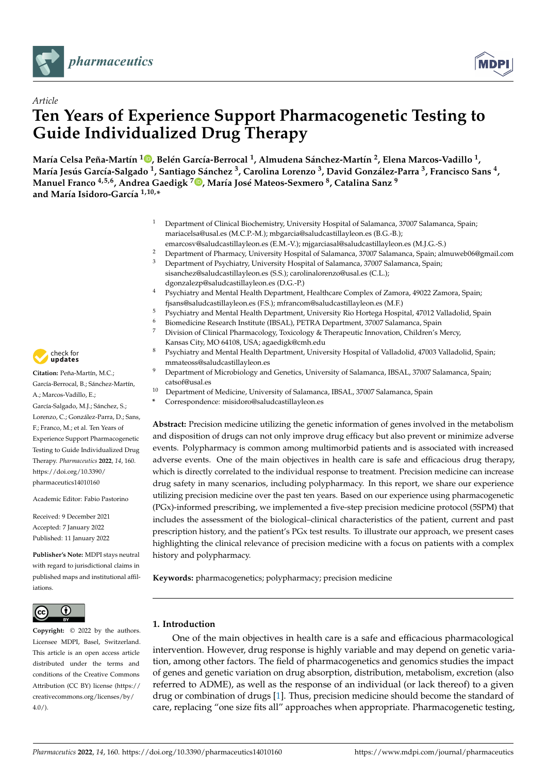



# *Article* **Ten Years of Experience Support Pharmacogenetic Testing to Guide Individualized Drug Therapy**

María Celsa Peña-Martín <sup>1</sup>D[,](https://orcid.org/0000-0002-3670-9228) Belén García-Berrocal <sup>1</sup>, Almudena Sánchez-Martín <sup>2</sup>, Elena Marcos-Vadillo <sup>1</sup>, María Jesús García-Salgado <sup>1</sup>, Santiago Sánchez <sup>3</sup>, Carolina Lorenzo <sup>3</sup>, David González-Parra <sup>3</sup>, Francisco Sans <sup>4</sup>, **Manuel Franco 4,5,6, Andrea Gaedigk <sup>7</sup> [,](https://orcid.org/0000-0001-6968-1893) María José Mateos-Sexmero <sup>8</sup> , Catalina Sanz <sup>9</sup> and María Isidoro-García 1,10,\***

- <sup>1</sup> Department of Clinical Biochemistry, University Hospital of Salamanca, 37007 Salamanca, Spain; mariacelsa@usal.es (M.C.P.-M.); mbgarcia@saludcastillayleon.es (B.G.-B.);
- emarcosv@saludcastillayleon.es (E.M.-V.); mjgarciasal@saludcastillayleon.es (M.J.G.-S.) <sup>2</sup> Department of Pharmacy, University Hospital of Salamanca, 37007 Salamanca, Spain; almuweb06@gmail.com <sup>3</sup> Department of Psychiatry, University Hospital of Salamanca, 37007 Salamanca, Spain;
	- sisanchez@saludcastillayleon.es (S.S.); carolinalorenzo@usal.es (C.L.); dgonzalezp@saludcastillayleon.es (D.G.-P.)
- <sup>4</sup> Psychiatry and Mental Health Department, Healthcare Complex of Zamora, 49022 Zamora, Spain; fjsans@saludcastillayleon.es (F.S.); mfrancom@saludcastillayleon.es (M.F.)
- <sup>5</sup> Psychiatry and Mental Health Department, University Rio Hortega Hospital, 47012 Valladolid, Spain
- <sup>6</sup> Biomedicine Research Institute (IBSAL), PETRA Department, 37007 Salamanca, Spain  $\frac{7}{4}$
- <sup>7</sup> Division of Clinical Pharmacology, Toxicology & Therapeutic Innovation, Children's Mercy, Kansas City, MO 64108, USA; agaedigk@cmh.edu
- 8 Psychiatry and Mental Health Department, University Hospital of Valladolid, 47003 Valladolid, Spain; mmateoss@saludcastillayleon.es
- <sup>9</sup> Department of Microbiology and Genetics, University of Salamanca, IBSAL, 37007 Salamanca, Spain; catsof@usal.es
- <sup>10</sup> Department of Medicine, University of Salamanca, IBSAL, 37007 Salamanca, Spain
	- **\*** Correspondence: misidoro@saludcastillayleon.es

**Abstract:** Precision medicine utilizing the genetic information of genes involved in the metabolism and disposition of drugs can not only improve drug efficacy but also prevent or minimize adverse events. Polypharmacy is common among multimorbid patients and is associated with increased adverse events. One of the main objectives in health care is safe and efficacious drug therapy, which is directly correlated to the individual response to treatment. Precision medicine can increase drug safety in many scenarios, including polypharmacy. In this report, we share our experience utilizing precision medicine over the past ten years. Based on our experience using pharmacogenetic (PGx)-informed prescribing, we implemented a five-step precision medicine protocol (5SPM) that includes the assessment of the biological–clinical characteristics of the patient, current and past prescription history, and the patient's PGx test results. To illustrate our approach, we present cases highlighting the clinical relevance of precision medicine with a focus on patients with a complex history and polypharmacy.

**Keywords:** pharmacogenetics; polypharmacy; precision medicine

#### **1. Introduction**

One of the main objectives in health care is a safe and efficacious pharmacological intervention. However, drug response is highly variable and may depend on genetic variation, among other factors. The field of pharmacogenetics and genomics studies the impact of genes and genetic variation on drug absorption, distribution, metabolism, excretion (also referred to ADME), as well as the response of an individual (or lack thereof) to a given drug or combination of drugs [\[1\]](#page-13-0). Thus, precision medicine should become the standard of care, replacing "one size fits all" approaches when appropriate. Pharmacogenetic testing,



**Citation:** Peña-Martín, M.C.; García-Berrocal, B.; Sánchez-Martín, A.; Marcos-Vadillo, E.; García-Salgado, M.J.; Sánchez, S.; Lorenzo, C.; González-Parra, D.; Sans, F.; Franco, M.; et al. Ten Years of Experience Support Pharmacogenetic Testing to Guide Individualized Drug Therapy. *Pharmaceutics* **2022**, *14*, 160. [https://doi.org/10.3390/](https://doi.org/10.3390/pharmaceutics14010160) [pharmaceutics14010160](https://doi.org/10.3390/pharmaceutics14010160)

Academic Editor: Fabio Pastorino

Received: 9 December 2021 Accepted: 7 January 2022 Published: 11 January 2022

**Publisher's Note:** MDPI stays neutral with regard to jurisdictional claims in published maps and institutional affiliations.



**Copyright:** © 2022 by the authors. Licensee MDPI, Basel, Switzerland. This article is an open access article distributed under the terms and conditions of the Creative Commons Attribution (CC BY) license [\(https://](https://creativecommons.org/licenses/by/4.0/) [creativecommons.org/licenses/by/](https://creativecommons.org/licenses/by/4.0/)  $4.0/$ ).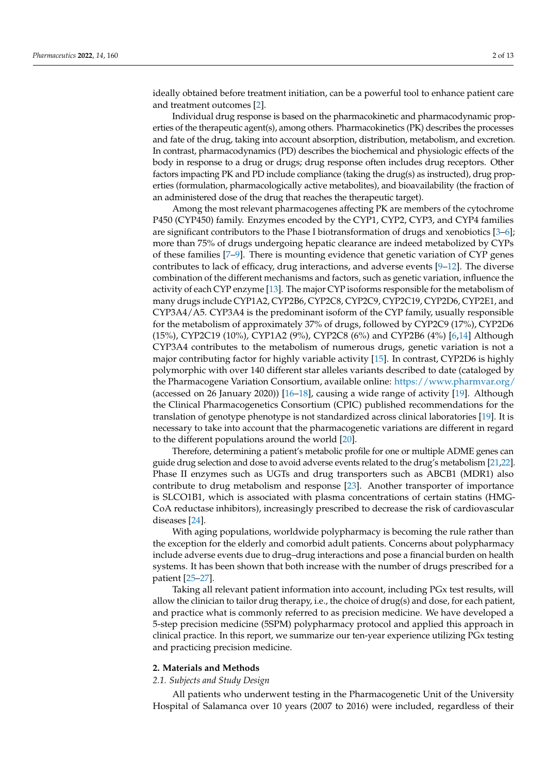ideally obtained before treatment initiation, can be a powerful tool to enhance patient care and treatment outcomes [\[2\]](#page-13-1).

Individual drug response is based on the pharmacokinetic and pharmacodynamic properties of the therapeutic agent(s), among others. Pharmacokinetics (PK) describes the processes and fate of the drug, taking into account absorption, distribution, metabolism, and excretion. In contrast, pharmacodynamics (PD) describes the biochemical and physiologic effects of the body in response to a drug or drugs; drug response often includes drug receptors. Other factors impacting PK and PD include compliance (taking the drug(s) as instructed), drug properties (formulation, pharmacologically active metabolites), and bioavailability (the fraction of an administered dose of the drug that reaches the therapeutic target).

Among the most relevant pharmacogenes affecting PK are members of the cytochrome P450 (CYP450) family. Enzymes encoded by the CYP1, CYP2, CYP3, and CYP4 families are significant contributors to the Phase I biotransformation of drugs and xenobiotics [\[3–](#page-13-2)[6\]](#page-13-3); more than 75% of drugs undergoing hepatic clearance are indeed metabolized by CYPs of these families [\[7](#page-13-4)[–9\]](#page-13-5). There is mounting evidence that genetic variation of CYP genes contributes to lack of efficacy, drug interactions, and adverse events  $[9-12]$  $[9-12]$ . The diverse combination of the different mechanisms and factors, such as genetic variation, influence the activity of each CYP enzyme [\[13\]](#page-13-7). The major CYP isoforms responsible for the metabolism of many drugs include CYP1A2, CYP2B6, CYP2C8, CYP2C9, CYP2C19, CYP2D6, CYP2E1, and CYP3A4/A5. CYP3A4 is the predominant isoform of the CYP family, usually responsible for the metabolism of approximately 37% of drugs, followed by CYP2C9 (17%), CYP2D6 (15%), CYP2C19 (10%), CYP1A2 (9%), CYP2C8 (6%) and CYP2B6 (4%) [\[6,](#page-13-3)[14\]](#page-13-8) Although CYP3A4 contributes to the metabolism of numerous drugs, genetic variation is not a major contributing factor for highly variable activity [\[15\]](#page-13-9). In contrast, CYP2D6 is highly polymorphic with over 140 different star alleles variants described to date (cataloged by the Pharmacogene Variation Consortium, available online: <https://www.pharmvar.org/> (accessed on 26 January 2020)) [\[16](#page-13-10)[–18\]](#page-13-11), causing a wide range of activity [\[19\]](#page-13-12). Although the Clinical Pharmacogenetics Consortium (CPIC) published recommendations for the translation of genotype phenotype is not standardized across clinical laboratories [\[19\]](#page-13-12). It is necessary to take into account that the pharmacogenetic variations are different in regard to the different populations around the world [\[20\]](#page-13-13).

Therefore, determining a patient's metabolic profile for one or multiple ADME genes can guide drug selection and dose to avoid adverse events related to the drug's metabolism [\[21](#page-13-14)[,22\]](#page-14-0). Phase II enzymes such as UGTs and drug transporters such as ABCB1 (MDR1) also contribute to drug metabolism and response [\[23\]](#page-14-1). Another transporter of importance is SLCO1B1, which is associated with plasma concentrations of certain statins (HMG-CoA reductase inhibitors), increasingly prescribed to decrease the risk of cardiovascular diseases [\[24\]](#page-14-2).

With aging populations, worldwide polypharmacy is becoming the rule rather than the exception for the elderly and comorbid adult patients. Concerns about polypharmacy include adverse events due to drug–drug interactions and pose a financial burden on health systems. It has been shown that both increase with the number of drugs prescribed for a patient [\[25–](#page-14-3)[27\]](#page-14-4).

Taking all relevant patient information into account, including PGx test results, will allow the clinician to tailor drug therapy, i.e., the choice of drug(s) and dose, for each patient, and practice what is commonly referred to as precision medicine. We have developed a 5-step precision medicine (5SPM) polypharmacy protocol and applied this approach in clinical practice. In this report, we summarize our ten-year experience utilizing PGx testing and practicing precision medicine.

#### **2. Materials and Methods**

#### *2.1. Subjects and Study Design*

All patients who underwent testing in the Pharmacogenetic Unit of the University Hospital of Salamanca over 10 years (2007 to 2016) were included, regardless of their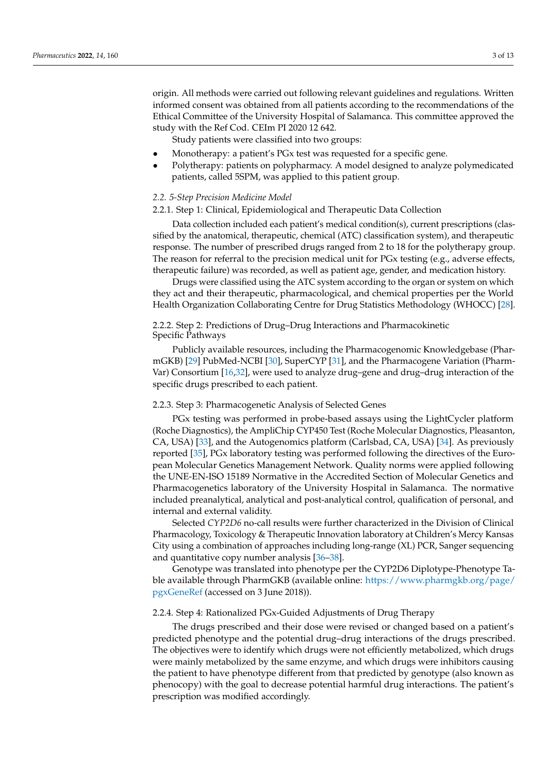origin. All methods were carried out following relevant guidelines and regulations. Written informed consent was obtained from all patients according to the recommendations of the Ethical Committee of the University Hospital of Salamanca. This committee approved the study with the Ref Cod. CEIm PI 2020 12 642.

Study patients were classified into two groups:

- Monotherapy: a patient's PGx test was requested for a specific gene.
- Polytherapy: patients on polypharmacy. A model designed to analyze polymedicated patients, called 5SPM, was applied to this patient group.

#### *2.2. 5-Step Precision Medicine Model*

#### 2.2.1. Step 1: Clinical, Epidemiological and Therapeutic Data Collection

Data collection included each patient's medical condition(s), current prescriptions (classified by the anatomical, therapeutic, chemical (ATC) classification system), and therapeutic response. The number of prescribed drugs ranged from 2 to 18 for the polytherapy group. The reason for referral to the precision medical unit for PGx testing (e.g., adverse effects, therapeutic failure) was recorded, as well as patient age, gender, and medication history.

Drugs were classified using the ATC system according to the organ or system on which they act and their therapeutic, pharmacological, and chemical properties per the World Health Organization Collaborating Centre for Drug Statistics Methodology (WHOCC) [\[28\]](#page-14-5).

2.2.2. Step 2: Predictions of Drug–Drug Interactions and Pharmacokinetic Specific Pathways

Publicly available resources, including the Pharmacogenomic Knowledgebase (PharmGKB) [\[29\]](#page-14-6) PubMed-NCBI [\[30\]](#page-14-7), SuperCYP [\[31\]](#page-14-8), and the Pharmacogene Variation (Pharm-Var) Consortium [\[16,](#page-13-10)[32\]](#page-14-9), were used to analyze drug–gene and drug–drug interaction of the specific drugs prescribed to each patient.

#### 2.2.3. Step 3: Pharmacogenetic Analysis of Selected Genes

PGx testing was performed in probe-based assays using the LightCycler platform (Roche Diagnostics), the AmpliChip CYP450 Test (Roche Molecular Diagnostics, Pleasanton, CA, USA) [\[33\]](#page-14-10), and the Autogenomics platform (Carlsbad, CA, USA) [\[34\]](#page-14-11). As previously reported [\[35\]](#page-14-12), PGx laboratory testing was performed following the directives of the European Molecular Genetics Management Network. Quality norms were applied following the UNE-EN-ISO 15189 Normative in the Accredited Section of Molecular Genetics and Pharmacogenetics laboratory of the University Hospital in Salamanca. The normative included preanalytical, analytical and post-analytical control, qualification of personal, and internal and external validity.

Selected *CYP2D6* no-call results were further characterized in the Division of Clinical Pharmacology, Toxicology & Therapeutic Innovation laboratory at Children's Mercy Kansas City using a combination of approaches including long-range (XL) PCR, Sanger sequencing and quantitative copy number analysis [\[36](#page-14-13)[–38\]](#page-14-14).

Genotype was translated into phenotype per the CYP2D6 Diplotype-Phenotype Table available through PharmGKB (available online: [https://www.pharmgkb.org/page/](https://www.pharmgkb.org/page/pgxGeneRef) [pgxGeneRef](https://www.pharmgkb.org/page/pgxGeneRef) (accessed on 3 June 2018)).

#### 2.2.4. Step 4: Rationalized PGx-Guided Adjustments of Drug Therapy

The drugs prescribed and their dose were revised or changed based on a patient's predicted phenotype and the potential drug–drug interactions of the drugs prescribed. The objectives were to identify which drugs were not efficiently metabolized, which drugs were mainly metabolized by the same enzyme, and which drugs were inhibitors causing the patient to have phenotype different from that predicted by genotype (also known as phenocopy) with the goal to decrease potential harmful drug interactions. The patient's prescription was modified accordingly.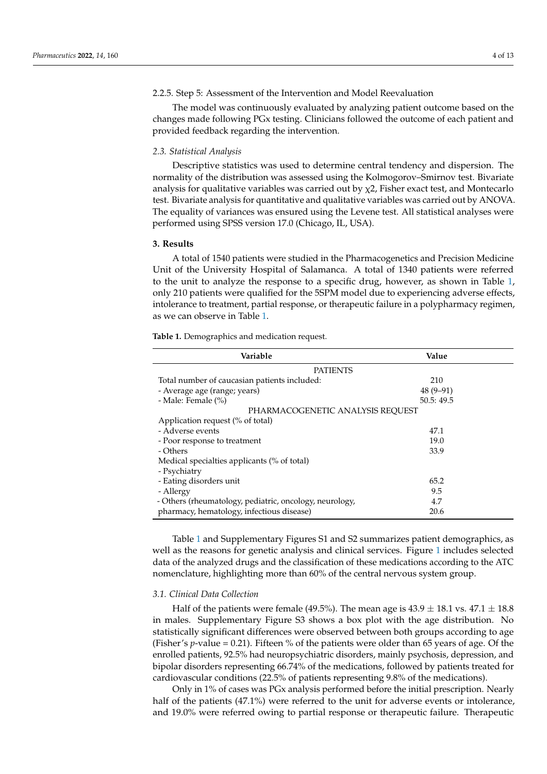#### 2.2.5. Step 5: Assessment of the Intervention and Model Reevaluation

The model was continuously evaluated by analyzing patient outcome based on the changes made following PGx testing. Clinicians followed the outcome of each patient and provided feedback regarding the intervention.

#### *2.3. Statistical Analysis*

Descriptive statistics was used to determine central tendency and dispersion. The normality of the distribution was assessed using the Kolmogorov–Smirnov test. Bivariate analysis for qualitative variables was carried out by  $\chi$ 2, Fisher exact test, and Montecarlo test. Bivariate analysis for quantitative and qualitative variables was carried out by ANOVA. The equality of variances was ensured using the Levene test. All statistical analyses were performed using SPSS version 17.0 (Chicago, IL, USA).

#### **3. Results**

A total of 1540 patients were studied in the Pharmacogenetics and Precision Medicine Unit of the University Hospital of Salamanca. A total of 1340 patients were referred to the unit to analyze the response to a specific drug, however, as shown in Table [1,](#page-5-0) only 210 patients were qualified for the 5SPM model due to experiencing adverse effects, intolerance to treatment, partial response, or therapeutic failure in a polypharmacy regimen, as we can observe in Table [1.](#page-5-0)

<span id="page-5-0"></span>**Table 1.** Demographics and medication request.

| Variable                                                | Value      |  |  |  |
|---------------------------------------------------------|------------|--|--|--|
| <b>PATIENTS</b>                                         |            |  |  |  |
| Total number of caucasian patients included:            | 210        |  |  |  |
| - Average age (range; years)                            | $48(9-91)$ |  |  |  |
| - Male: Female (%)                                      | 50.5:49.5  |  |  |  |
| PHARMACOGENETIC ANALYSIS REQUEST                        |            |  |  |  |
| Application request (% of total)                        |            |  |  |  |
| - Adverse events                                        | 47.1       |  |  |  |
| - Poor response to treatment                            | 19.0       |  |  |  |
| - Others                                                | 33.9       |  |  |  |
| Medical specialties applicants (% of total)             |            |  |  |  |
| - Psychiatry                                            |            |  |  |  |
| - Eating disorders unit                                 | 65.2       |  |  |  |
| - Allergy                                               | 9.5        |  |  |  |
| - Others (rheumatology, pediatric, oncology, neurology, | 4.7        |  |  |  |
| pharmacy, hematology, infectious disease)               | 20.6       |  |  |  |

Table [1](#page-5-0) and Supplementary Figures S1 and S2 summarizes patient demographics, as well as the reasons for genetic analysis and clinical services. Figure [1](#page-6-0) includes selected data of the analyzed drugs and the classification of these medications according to the ATC nomenclature, highlighting more than 60% of the central nervous system group.

#### *3.1. Clinical Data Collection*

Half of the patients were female (49.5%). The mean age is  $43.9 \pm 18.1$  vs.  $47.1 \pm 18.8$ in males. Supplementary Figure S3 shows a box plot with the age distribution. No statistically significant differences were observed between both groups according to age (Fisher's *p*-value = 0.21). Fifteen % of the patients were older than 65 years of age. Of the enrolled patients, 92.5% had neuropsychiatric disorders, mainly psychosis, depression, and bipolar disorders representing 66.74% of the medications, followed by patients treated for cardiovascular conditions (22.5% of patients representing 9.8% of the medications).

Only in 1% of cases was PGx analysis performed before the initial prescription. Nearly half of the patients (47.1%) were referred to the unit for adverse events or intolerance, and 19.0% were referred owing to partial response or therapeutic failure. Therapeutic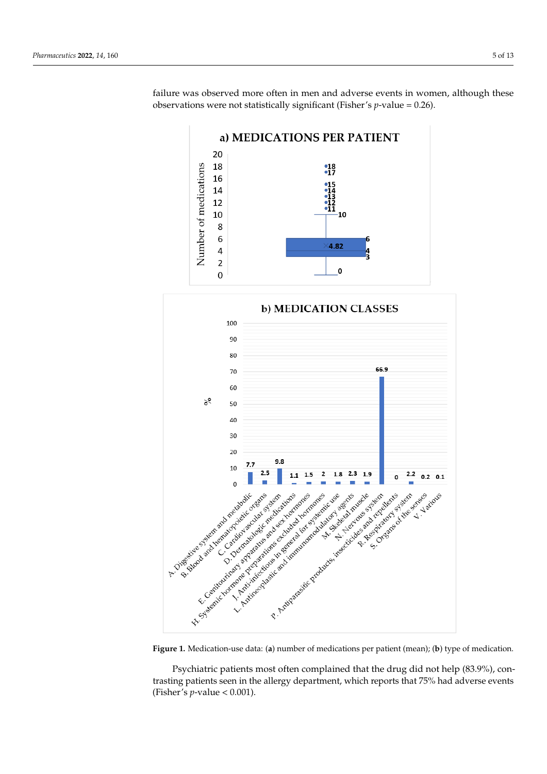failure was observed more often in men and adverse events in women, although these observations were not statistically significant (Fisher's *p*-value = 0.26).

<span id="page-6-0"></span>



**Figure 1.** Medication-use data: (a) number of medications per patient (mean); (b) type of medication.

Psychiatric patients most often complained that the drug did not help (83.9%), contrasting patients seen in the allergy department, which reports that 75% had adverse events<br>(5). 1  $\pm$  1  $\pm$  1  $\pm$  18.801) (Fisher's *p*-value  $< 0.001$ ).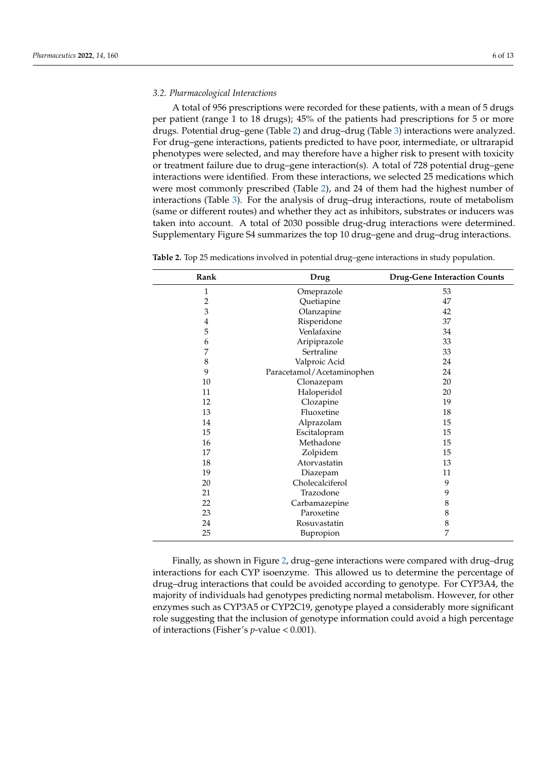#### *3.2. Pharmacological Interactions*

A total of 956 prescriptions were recorded for these patients, with a mean of 5 drugs per patient (range 1 to 18 drugs); 45% of the patients had prescriptions for 5 or more drugs. Potential drug–gene (Table [2\)](#page-7-0) and drug–drug (Table [3\)](#page-8-0) interactions were analyzed. For drug–gene interactions, patients predicted to have poor, intermediate, or ultrarapid phenotypes were selected, and may therefore have a higher risk to present with toxicity or treatment failure due to drug–gene interaction(s). A total of 728 potential drug–gene interactions were identified. From these interactions, we selected 25 medications which were most commonly prescribed (Table [2\)](#page-7-0), and 24 of them had the highest number of interactions (Table [3\)](#page-8-0). For the analysis of drug–drug interactions, route of metabolism (same or different routes) and whether they act as inhibitors, substrates or inducers was taken into account. A total of 2030 possible drug-drug interactions were determined. Supplementary Figure S4 summarizes the top 10 drug–gene and drug–drug interactions.

| Rank | Drug                      | <b>Drug-Gene Interaction Counts</b> |  |
|------|---------------------------|-------------------------------------|--|
| 1    | Omeprazole                | 53                                  |  |
| 2    | Quetiapine                | 47                                  |  |
| 3    | Olanzapine                | 42                                  |  |
| 4    | Risperidone               | 37                                  |  |
| 5    | Venlafaxine               | 34                                  |  |
| 6    | Aripiprazole              | 33                                  |  |
| 7    | Sertraline                | 33                                  |  |
| 8    | Valproic Acid             | 24                                  |  |
| 9    | Paracetamol/Acetaminophen | 24                                  |  |
| 10   | Clonazepam                | 20                                  |  |
| 11   | Haloperidol               | 20                                  |  |
| 12   | Clozapine                 | 19                                  |  |
| 13   | Fluoxetine                | 18                                  |  |
| 14   | Alprazolam                | 15                                  |  |
| 15   | Escitalopram              | 15                                  |  |
| 16   | Methadone                 | 15                                  |  |
| 17   | Zolpidem                  | 15                                  |  |
| 18   | Atorvastatin<br>13        |                                     |  |
| 19   | Diazepam                  | 11                                  |  |
| 20   | Cholecalciferol           | 9                                   |  |
| 21   | Trazodone<br>9            |                                     |  |
| 22   | Carbamazepine             | 8                                   |  |
| 23   | Paroxetine                | 8                                   |  |
| 24   | Rosuvastatin              | $\,$ 8 $\,$                         |  |
| 25   | 7<br>Bupropion            |                                     |  |

<span id="page-7-0"></span>**Table 2.** Top 25 medications involved in potential drug–gene interactions in study population.

Finally, as shown in Figure [2,](#page-8-1) drug–gene interactions were compared with drug–drug interactions for each CYP isoenzyme. This allowed us to determine the percentage of drug–drug interactions that could be avoided according to genotype. For CYP3A4, the majority of individuals had genotypes predicting normal metabolism. However, for other enzymes such as CYP3A5 or CYP2C19, genotype played a considerably more significant role suggesting that the inclusion of genotype information could avoid a high percentage of interactions (Fisher's *p*-value < 0.001).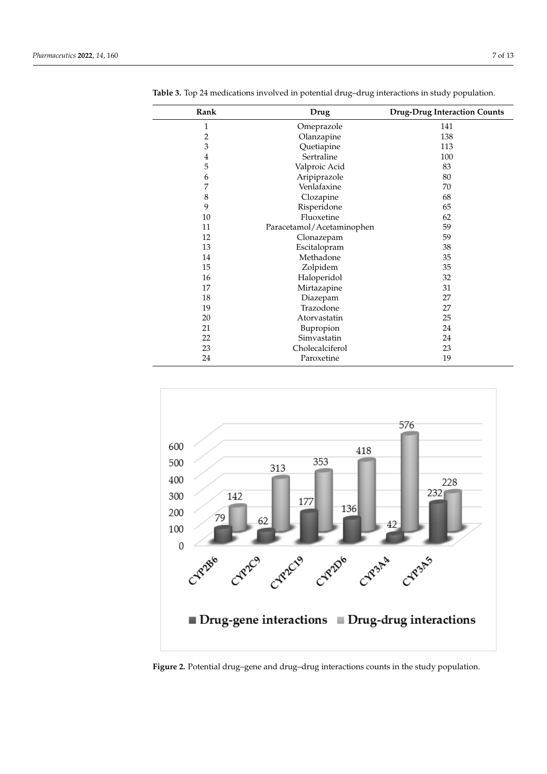| Rank                    | Drug                      | <b>Drug-Drug Interaction Counts</b> |
|-------------------------|---------------------------|-------------------------------------|
| 1                       | Omeprazole                | 141                                 |
| $\overline{c}$          | Olanzapine                | 138                                 |
| 3                       | Quetiapine                | 113                                 |
| $\overline{\mathbf{4}}$ | Sertraline                | 100                                 |
| 5                       | Valproic Acid             | 83                                  |
| 6                       | Aripiprazole              | 80                                  |
| 7                       | Venlafaxine               | 70                                  |
| $\,8\,$                 | Clozapine                 | 68                                  |
| 9                       | Risperidone               | 65                                  |
| 10                      | Fluoxetine                | 62                                  |
| 11                      | Paracetamol/Acetaminophen | 59                                  |
| 12                      | Clonazepam                | 59                                  |
| 13                      | Escitalopram              | 38                                  |
| 14                      | Methadone                 | 35                                  |
| 15                      | Zolpidem                  | 35                                  |
| 16                      | Haloperidol               | 32                                  |
| 17                      | Mirtazapine               | 31                                  |
| 18                      | Diazepam                  | 27                                  |
| 19                      | Trazodone                 | 27                                  |
| 20                      | Atorvastatin              | 25                                  |
| 21                      | Bupropion                 | 24                                  |
| 22                      | Simvastatin               | 24                                  |
| 23                      | Cholecalciferol           | 23                                  |
| 24                      | Paroxetine                | 19                                  |

<span id="page-8-0"></span>**Table 3.** Top 24 medications involved in potential drug–drug interactions in study population.

<span id="page-8-1"></span>

**Figure 2.** Potential drug–gene and drug–drug interactions counts in the study population. **Figure 2.** Potential drug–gene and drug–drug interactions counts in the study population.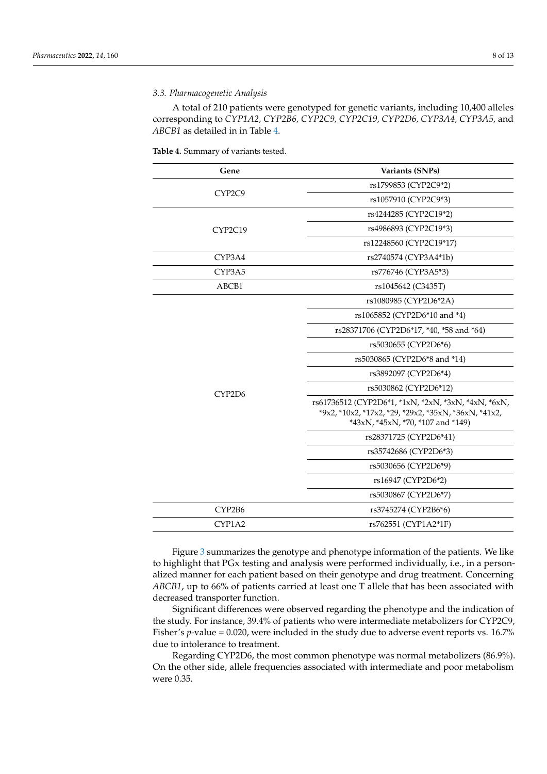#### *3.3. Pharmacogenetic Analysis*

A total of 210 patients were genotyped for genetic variants, including 10,400 alleles corresponding to *CYP1A2, CYP2B6, CYP2C9, CYP2C19, CYP2D6, CYP3A4, CYP3A5,* and *ABCB1* as detailed in in Table [4.](#page-9-0)

<span id="page-9-0"></span>**Table 4.** Summary of variants tested.

| Gene    | Variants (SNPs)                                                                                                                                  |
|---------|--------------------------------------------------------------------------------------------------------------------------------------------------|
| CYP2C9  | rs1799853 (CYP2C9*2)                                                                                                                             |
|         | rs1057910 (CYP2C9*3)                                                                                                                             |
| CYP2C19 | rs4244285 (CYP2C19*2)                                                                                                                            |
|         | rs4986893 (CYP2C19*3)                                                                                                                            |
|         | rs12248560 (CYP2C19*17)                                                                                                                          |
| CYP3A4  | rs2740574 (CYP3A4*1b)                                                                                                                            |
| CYP3A5  | rs776746 (CYP3A5*3)                                                                                                                              |
| ABCB1   | rs1045642 (C3435T)                                                                                                                               |
|         | rs1080985 (CYP2D6*2A)                                                                                                                            |
|         | rs1065852 (CYP2D6*10 and *4)                                                                                                                     |
|         | rs28371706 (CYP2D6*17, *40, *58 and *64)                                                                                                         |
|         | rs5030655 (CYP2D6*6)                                                                                                                             |
|         | rs5030865 (CYP2D6*8 and *14)                                                                                                                     |
|         | rs3892097 (CYP2D6*4)                                                                                                                             |
|         | rs5030862 (CYP2D6*12)                                                                                                                            |
| CYP2D6  | rs61736512 (CYP2D6*1, *1xN, *2xN, *3xN, *4xN, *6xN,<br>*9x2, *10x2, *17x2, *29, *29x2, *35xN, *36xN, *41x2,<br>*43xN, *45xN, *70, *107 and *149) |
|         | rs28371725 (CYP2D6*41)                                                                                                                           |
|         | rs35742686 (CYP2D6*3)                                                                                                                            |
|         | rs5030656 (CYP2D6*9)                                                                                                                             |
|         | rs16947 (CYP2D6*2)                                                                                                                               |
|         | rs5030867 (CYP2D6*7)                                                                                                                             |
| CYP2B6  | rs3745274 (CYP2B6*6)                                                                                                                             |
| CYP1A2  | rs762551 (CYP1A2*1F)                                                                                                                             |

Figure [3](#page-10-0) summarizes the genotype and phenotype information of the patients. We like to highlight that PGx testing and analysis were performed individually, i.e., in a personalized manner for each patient based on their genotype and drug treatment. Concerning *ABCB1*, up to 66% of patients carried at least one T allele that has been associated with decreased transporter function.

Significant differences were observed regarding the phenotype and the indication of the study. For instance, 39.4% of patients who were intermediate metabolizers for CYP2C9, Fisher's *p*-value = 0.020, were included in the study due to adverse event reports vs. 16.7% due to intolerance to treatment.

Regarding CYP2D6, the most common phenotype was normal metabolizers (86.9%). On the other side, allele frequencies associated with intermediate and poor metabolism were 0.35.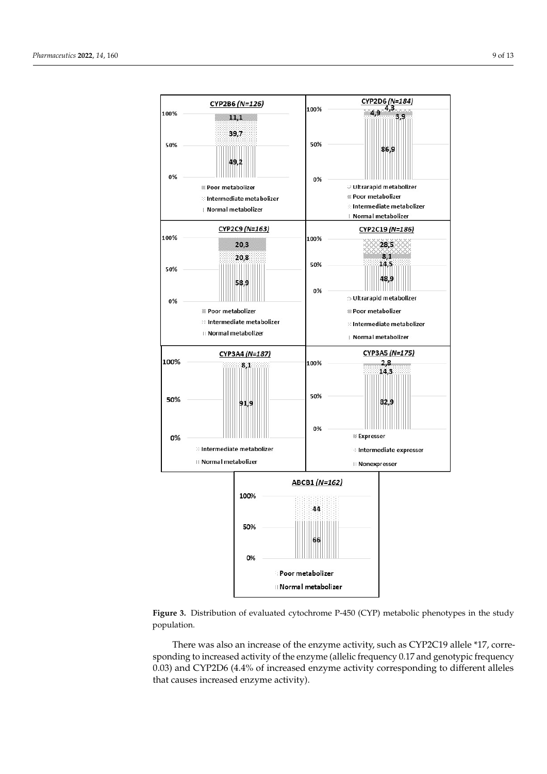<span id="page-10-0"></span>



There was also an increase of the enzyme activity, such as CYP2C19 allele \*17, corresponding to increased activity of the enzyme (allelic frequency 0.17 and genotypic frequency 0.03) and CYP2D6 (4.4% of increased enzyme activity corresponding to different alleles that causes increased enzyme activity).  $\frac{1}{\sqrt{2\pi}}$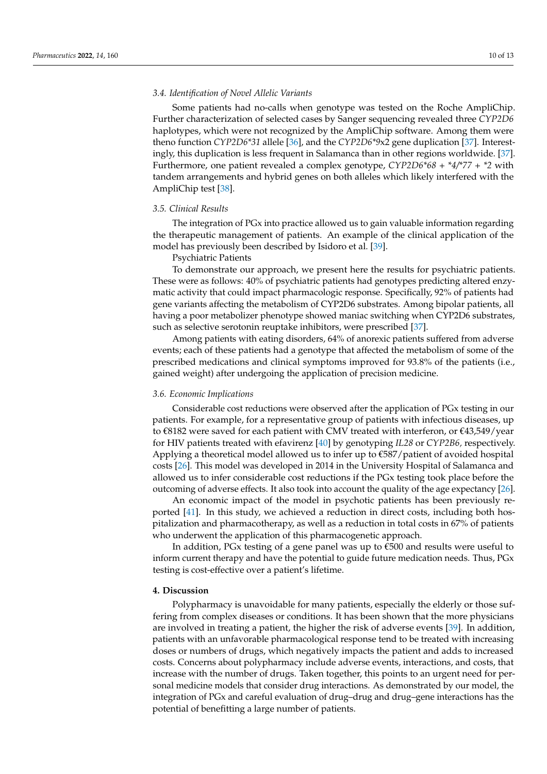#### *3.4. Identification of Novel Allelic Variants*

Some patients had no-calls when genotype was tested on the Roche AmpliChip. Further characterization of selected cases by Sanger sequencing revealed three *CYP2D6* haplotypes, which were not recognized by the AmpliChip software. Among them were theno function *CYP2D6\*31* allele [\[36\]](#page-14-13), and the *CYP2D6\*9*x2 gene duplication [\[37\]](#page-14-15). Interestingly, this duplication is less frequent in Salamanca than in other regions worldwide. [\[37\]](#page-14-15). Furthermore, one patient revealed a complex genotype, *CYP2D6\*68 + \*4/\*77 + \*2* with tandem arrangements and hybrid genes on both alleles which likely interfered with the AmpliChip test [\[38\]](#page-14-14).

#### *3.5. Clinical Results*

The integration of PGx into practice allowed us to gain valuable information regarding the therapeutic management of patients. An example of the clinical application of the model has previously been described by Isidoro et al. [\[39\]](#page-14-16).

Psychiatric Patients

To demonstrate our approach, we present here the results for psychiatric patients. These were as follows: 40% of psychiatric patients had genotypes predicting altered enzymatic activity that could impact pharmacologic response. Specifically, 92% of patients had gene variants affecting the metabolism of CYP2D6 substrates. Among bipolar patients, all having a poor metabolizer phenotype showed maniac switching when CYP2D6 substrates, such as selective serotonin reuptake inhibitors, were prescribed [\[37\]](#page-14-15).

Among patients with eating disorders, 64% of anorexic patients suffered from adverse events; each of these patients had a genotype that affected the metabolism of some of the prescribed medications and clinical symptoms improved for 93.8% of the patients (i.e., gained weight) after undergoing the application of precision medicine.

#### *3.6. Economic Implications*

Considerable cost reductions were observed after the application of PGx testing in our patients. For example, for a representative group of patients with infectious diseases, up to €8182 were saved for each patient with CMV treated with interferon, or €43,549/year for HIV patients treated with efavirenz [\[40\]](#page-14-17) by genotyping *IL28* or *CYP2B6,* respectively. Applying a theoretical model allowed us to infer up to  $\epsilon$ 587/patient of avoided hospital costs [\[26\]](#page-14-18). This model was developed in 2014 in the University Hospital of Salamanca and allowed us to infer considerable cost reductions if the PGx testing took place before the outcoming of adverse effects. It also took into account the quality of the age expectancy [\[26\]](#page-14-18).

An economic impact of the model in psychotic patients has been previously reported [\[41\]](#page-14-19). In this study, we achieved a reduction in direct costs, including both hospitalization and pharmacotherapy, as well as a reduction in total costs in 67% of patients who underwent the application of this pharmacogenetic approach.

In addition, PGx testing of a gene panel was up to €500 and results were useful to inform current therapy and have the potential to guide future medication needs. Thus, PGx testing is cost-effective over a patient's lifetime.

#### **4. Discussion**

Polypharmacy is unavoidable for many patients, especially the elderly or those suffering from complex diseases or conditions. It has been shown that the more physicians are involved in treating a patient, the higher the risk of adverse events [\[39\]](#page-14-16). In addition, patients with an unfavorable pharmacological response tend to be treated with increasing doses or numbers of drugs, which negatively impacts the patient and adds to increased costs. Concerns about polypharmacy include adverse events, interactions, and costs, that increase with the number of drugs. Taken together, this points to an urgent need for personal medicine models that consider drug interactions. As demonstrated by our model, the integration of PGx and careful evaluation of drug–drug and drug–gene interactions has the potential of benefitting a large number of patients.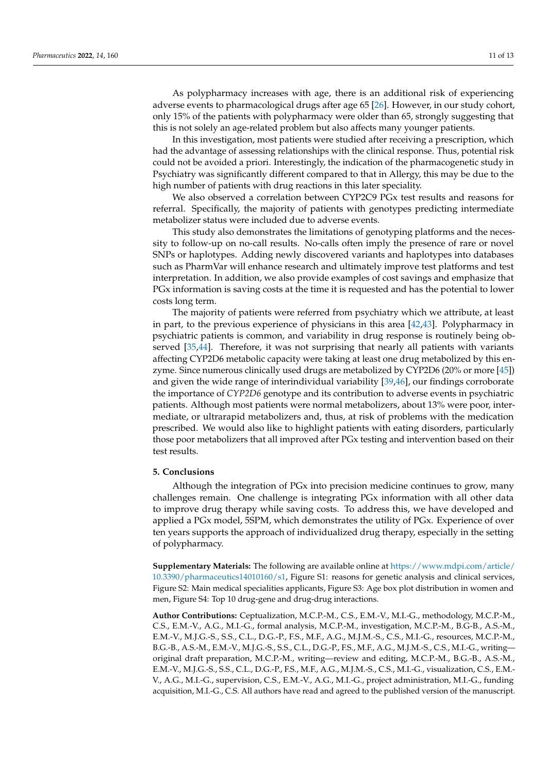As polypharmacy increases with age, there is an additional risk of experiencing adverse events to pharmacological drugs after age 65 [\[26\]](#page-14-18). However, in our study cohort, only 15% of the patients with polypharmacy were older than 65, strongly suggesting that this is not solely an age-related problem but also affects many younger patients.

In this investigation, most patients were studied after receiving a prescription, which had the advantage of assessing relationships with the clinical response. Thus, potential risk could not be avoided a priori. Interestingly, the indication of the pharmacogenetic study in Psychiatry was significantly different compared to that in Allergy, this may be due to the high number of patients with drug reactions in this later speciality.

We also observed a correlation between CYP2C9 PGx test results and reasons for referral. Specifically, the majority of patients with genotypes predicting intermediate metabolizer status were included due to adverse events.

This study also demonstrates the limitations of genotyping platforms and the necessity to follow-up on no-call results. No-calls often imply the presence of rare or novel SNPs or haplotypes. Adding newly discovered variants and haplotypes into databases such as PharmVar will enhance research and ultimately improve test platforms and test interpretation. In addition, we also provide examples of cost savings and emphasize that PGx information is saving costs at the time it is requested and has the potential to lower costs long term.

The majority of patients were referred from psychiatry which we attribute, at least in part, to the previous experience of physicians in this area [\[42,](#page-14-20)[43\]](#page-14-21). Polypharmacy in psychiatric patients is common, and variability in drug response is routinely being ob-served [\[35,](#page-14-12)[44\]](#page-14-22). Therefore, it was not surprising that nearly all patients with variants affecting CYP2D6 metabolic capacity were taking at least one drug metabolized by this enzyme. Since numerous clinically used drugs are metabolized by CYP2D6 (20% or more [\[45\]](#page-14-23)) and given the wide range of interindividual variability [\[39](#page-14-16)[,46\]](#page-14-24), our findings corroborate the importance of *CYP2D6* genotype and its contribution to adverse events in psychiatric patients. Although most patients were normal metabolizers, about 13% were poor, intermediate, or ultrarapid metabolizers and, thus, at risk of problems with the medication prescribed. We would also like to highlight patients with eating disorders, particularly those poor metabolizers that all improved after PGx testing and intervention based on their test results.

#### **5. Conclusions**

Although the integration of PGx into precision medicine continues to grow, many challenges remain. One challenge is integrating PGx information with all other data to improve drug therapy while saving costs. To address this, we have developed and applied a PGx model, 5SPM, which demonstrates the utility of PGx. Experience of over ten years supports the approach of individualized drug therapy, especially in the setting of polypharmacy.

**Supplementary Materials:** The following are available online at [https://www.mdpi.com/article/](https://www.mdpi.com/article/10.3390/pharmaceutics14010160/s1) [10.3390/pharmaceutics14010160/s1,](https://www.mdpi.com/article/10.3390/pharmaceutics14010160/s1) Figure S1: reasons for genetic analysis and clinical services, Figure S2: Main medical specialities applicants, Figure S3: Age box plot distribution in women and men, Figure S4: Top 10 drug-gene and drug-drug interactions.

**Author Contributions:** Ceptualization, M.C.P.-M., C.S., E.M.-V., M.I.-G., methodology, M.C.P.-M., C.S., E.M.-V., A.G., M.I.-G., formal analysis, M.C.P.-M., investigation, M.C.P.-M., B.G-B., A.S.-M., E.M.-V., M.J.G.-S., S.S., C.L., D.G.-P., F.S., M.F., A.G., M.J.M.-S., C.S., M.I.-G., resources, M.C.P.-M., B.G.-B., A.S.-M., E.M.-V., M.J.G.-S., S.S., C.L., D.G.-P., F.S., M.F., A.G., M.J.M.-S., C.S., M.I.-G., writing original draft preparation, M.C.P.-M., writing—review and editing, M.C.P.-M., B.G.-B., A.S.-M., E.M.-V., M.J.G.-S., S.S., C.L., D.G.-P., F.S., M.F., A.G., M.J.M.-S., C.S., M.I.-G., visualization, C.S., E.M.- V., A.G., M.I.-G., supervision, C.S., E.M.-V., A.G., M.I.-G., project administration, M.I.-G., funding acquisition, M.I.-G., C.S. All authors have read and agreed to the published version of the manuscript.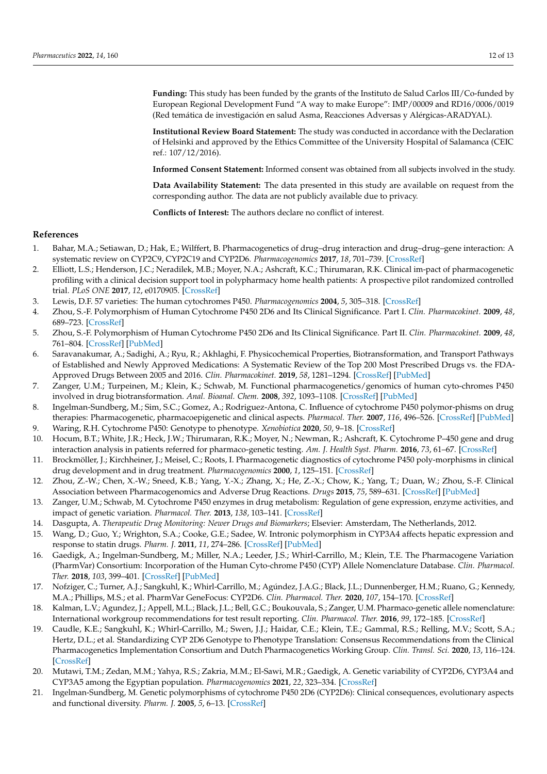**Funding:** This study has been funded by the grants of the Instituto de Salud Carlos III/Co-funded by European Regional Development Fund "A way to make Europe": IMP/00009 and RD16/0006/0019 (Red temática de investigación en salud Asma, Reacciones Adversas y Alérgicas-ARADYAL).

**Institutional Review Board Statement:** The study was conducted in accordance with the Declaration of Helsinki and approved by the Ethics Committee of the University Hospital of Salamanca (CEIC ref.: 107/12/2016).

**Informed Consent Statement:** Informed consent was obtained from all subjects involved in the study.

**Data Availability Statement:** The data presented in this study are available on request from the corresponding author. The data are not publicly available due to privacy.

**Conflicts of Interest:** The authors declare no conflict of interest.

#### **References**

- <span id="page-13-0"></span>1. Bahar, M.A.; Setiawan, D.; Hak, E.; Wilffert, B. Pharmacogenetics of drug–drug interaction and drug–drug–gene interaction: A systematic review on CYP2C9, CYP2C19 and CYP2D6. *Pharmacogenomics* **2017**, *18*, 701–739. [\[CrossRef\]](http://doi.org/10.2217/pgs-2017-0194)
- <span id="page-13-1"></span>2. Elliott, L.S.; Henderson, J.C.; Neradilek, M.B.; Moyer, N.A.; Ashcraft, K.C.; Thirumaran, R.K. Clinical im-pact of pharmacogenetic profiling with a clinical decision support tool in polypharmacy home health patients: A prospective pilot randomized controlled trial. *PLoS ONE* **2017**, *12*, e0170905. [\[CrossRef\]](http://doi.org/10.1371/journal.pone.0170905)
- <span id="page-13-2"></span>3. Lewis, D.F. 57 varieties: The human cytochromes P450. *Pharmacogenomics* **2004**, *5*, 305–318. [\[CrossRef\]](http://doi.org/10.1517/phgs.5.3.305.29827)
- 4. Zhou, S.-F. Polymorphism of Human Cytochrome P450 2D6 and Its Clinical Significance. Part I. *Clin. Pharmacokinet.* **2009**, *48*, 689–723. [\[CrossRef\]](http://doi.org/10.2165/11318030-000000000-00000)
- 5. Zhou, S.-F. Polymorphism of Human Cytochrome P450 2D6 and Its Clinical Significance. Part II. *Clin. Pharmacokinet.* **2009**, *48*, 761–804. [\[CrossRef\]](http://doi.org/10.2165/11318070-000000000-00000) [\[PubMed\]](http://www.ncbi.nlm.nih.gov/pubmed/19902987)
- <span id="page-13-3"></span>6. Saravanakumar, A.; Sadighi, A.; Ryu, R.; Akhlaghi, F. Physicochemical Properties, Biotransformation, and Transport Pathways of Established and Newly Approved Medications: A Systematic Review of the Top 200 Most Prescribed Drugs vs. the FDA-Approved Drugs Between 2005 and 2016. *Clin. Pharmacokinet.* **2019**, *58*, 1281–1294. [\[CrossRef\]](http://doi.org/10.1007/s40262-019-00750-8) [\[PubMed\]](http://www.ncbi.nlm.nih.gov/pubmed/30972694)
- <span id="page-13-4"></span>7. Zanger, U.M.; Turpeinen, M.; Klein, K.; Schwab, M. Functional pharmacogenetics/genomics of human cyto-chromes P450 involved in drug biotransformation. *Anal. Bioanal. Chem.* **2008**, *392*, 1093–1108. [\[CrossRef\]](http://doi.org/10.1007/s00216-008-2291-6) [\[PubMed\]](http://www.ncbi.nlm.nih.gov/pubmed/18695978)
- 8. Ingelman-Sundberg, M.; Sim, S.C.; Gomez, A.; Rodriguez-Antona, C. Influence of cytochrome P450 polymor-phisms on drug therapies: Pharmacogenetic, pharmacoepigenetic and clinical aspects. *Pharmacol. Ther.* **2007**, *116*, 496–526. [\[CrossRef\]](http://doi.org/10.1016/j.pharmthera.2007.09.004) [\[PubMed\]](http://www.ncbi.nlm.nih.gov/pubmed/18001838) 9. Waring, R.H. Cytochrome P450: Genotype to phenotype. *Xenobiotica* **2020**, *50*, 9–18. [\[CrossRef\]](http://doi.org/10.1080/00498254.2019.1648911)
- <span id="page-13-5"></span>10. Hocum, B.T.; White, J.R.; Heck, J.W.; Thirumaran, R.K.; Moyer, N.; Newman, R.; Ashcraft, K. Cytochrome P–450 gene and drug
- interaction analysis in patients referred for pharmaco-genetic testing. *Am. J. Health Syst. Pharm.* **2016**, *73*, 61–67. [\[CrossRef\]](http://doi.org/10.2146/ajhp150273) 11. Brockmöller, J.; Kirchheiner, J.; Meisel, C.; Roots, I. Pharmacogenetic diagnostics of cytochrome P450 poly-morphisms in clinical
- <span id="page-13-6"></span>drug development and in drug treatment. *Pharmacogenomics* **2000**, *1*, 125–151. [\[CrossRef\]](http://doi.org/10.1517/14622416.1.2.125) 12. Zhou, Z.-W.; Chen, X.-W.; Sneed, K.B.; Yang, Y.-X.; Zhang, X.; He, Z.-X.; Chow, K.; Yang, T.; Duan, W.; Zhou, S.-F. Clinical
- <span id="page-13-7"></span>Association between Pharmacogenomics and Adverse Drug Reactions. *Drugs* **2015**, *75*, 589–631. [\[CrossRef\]](http://doi.org/10.1007/s40265-015-0375-0) [\[PubMed\]](http://www.ncbi.nlm.nih.gov/pubmed/25895462) 13. Zanger, U.M.; Schwab, M. Cytochrome P450 enzymes in drug metabolism: Regulation of gene expression, enzyme activities, and
- impact of genetic variation. *Pharmacol. Ther.* **2013**, *138*, 103–141. [\[CrossRef\]](http://doi.org/10.1016/j.pharmthera.2012.12.007)
- <span id="page-13-8"></span>14. Dasgupta, A. *Therapeutic Drug Monitoring: Newer Drugs and Biomarkers*; Elsevier: Amsterdam, The Netherlands, 2012.
- <span id="page-13-9"></span>15. Wang, D.; Guo, Y.; Wrighton, S.A.; Cooke, G.E.; Sadee, W. Intronic polymorphism in CYP3A4 affects hepatic expression and response to statin drugs. *Pharm. J.* **2011**, *11*, 274–286. [\[CrossRef\]](http://doi.org/10.1038/tpj.2010.28) [\[PubMed\]](http://www.ncbi.nlm.nih.gov/pubmed/20386561)
- <span id="page-13-10"></span>16. Gaedigk, A.; Ingelman-Sundberg, M.; Miller, N.A.; Leeder, J.S.; Whirl-Carrillo, M.; Klein, T.E. The Pharmacogene Variation (PharmVar) Consortium: Incorporation of the Human Cyto-chrome P450 (CYP) Allele Nomenclature Database. *Clin. Pharmacol. Ther.* **2018**, *103*, 399–401. [\[CrossRef\]](http://doi.org/10.1002/cpt.910) [\[PubMed\]](http://www.ncbi.nlm.nih.gov/pubmed/29134625)
- 17. Nofziger, C.; Turner, A.J.; Sangkuhl, K.; Whirl-Carrillo, M.; Agúndez, J.A.G.; Black, J.L.; Dunnenberger, H.M.; Ruano, G.; Kennedy, M.A.; Phillips, M.S.; et al. PharmVar GeneFocus: CYP2D6. *Clin. Pharmacol. Ther.* **2020**, *107*, 154–170. [\[CrossRef\]](http://doi.org/10.1002/cpt.1643)
- <span id="page-13-11"></span>18. Kalman, L.V.; Agundez, J.; Appell, M.L.; Black, J.L.; Bell, G.C.; Boukouvala, S.; Zanger, U.M. Pharmaco-genetic allele nomenclature: International workgroup recommendations for test result reporting. *Clin. Pharmacol. Ther.* **2016**, *99*, 172–185. [\[CrossRef\]](http://doi.org/10.1002/cpt.280)
- <span id="page-13-12"></span>19. Caudle, K.E.; Sangkuhl, K.; Whirl-Carrillo, M.; Swen, J.J.; Haidar, C.E.; Klein, T.E.; Gammal, R.S.; Relling, M.V.; Scott, S.A.; Hertz, D.L.; et al. Standardizing CYP 2D6 Genotype to Phenotype Translation: Consensus Recommendations from the Clinical Pharmacogenetics Implementation Consortium and Dutch Pharmacogenetics Working Group. *Clin. Transl. Sci.* **2020**, *13*, 116–124. [\[CrossRef\]](http://doi.org/10.1111/cts.12692)
- <span id="page-13-13"></span>20. Mutawi, T.M.; Zedan, M.M.; Yahya, R.S.; Zakria, M.M.; El-Sawi, M.R.; Gaedigk, A. Genetic variability of CYP2D6, CYP3A4 and CYP3A5 among the Egyptian population. *Pharmacogenomics* **2021**, *22*, 323–334. [\[CrossRef\]](http://doi.org/10.2217/pgs-2020-0140)
- <span id="page-13-14"></span>21. Ingelman-Sundberg, M. Genetic polymorphisms of cytochrome P450 2D6 (CYP2D6): Clinical consequences, evolutionary aspects and functional diversity. *Pharm. J.* **2005**, *5*, 6–13. [\[CrossRef\]](http://doi.org/10.1038/sj.tpj.6500285)